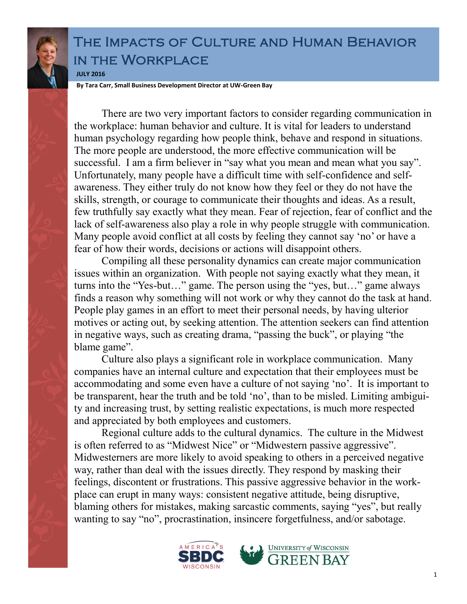

## The Impacts of Culture and Human Behavior in the Workplace **JULY 2016**

**By Tara Carr, Small Business Development Director at UW-Green Bay**

There are two very important factors to consider regarding communication in the workplace: human behavior and culture. It is vital for leaders to understand human psychology regarding how people think, behave and respond in situations. The more people are understood, the more effective communication will be successful. I am a firm believer in "say what you mean and mean what you say". Unfortunately, many people have a difficult time with self-confidence and selfawareness. They either truly do not know how they feel or they do not have the skills, strength, or courage to communicate their thoughts and ideas. As a result, few truthfully say exactly what they mean. Fear of rejection, fear of conflict and the lack of self-awareness also play a role in why people struggle with communication. Many people avoid conflict at all costs by feeling they cannot say 'no' or have a fear of how their words, decisions or actions will disappoint others.

Compiling all these personality dynamics can create major communication issues within an organization. With people not saying exactly what they mean, it turns into the "Yes-but…" game. The person using the "yes, but…" game always finds a reason why something will not work or why they cannot do the task at hand. People play games in an effort to meet their personal needs, by having ulterior motives or acting out, by seeking attention. The attention seekers can find attention in negative ways, such as creating drama, "passing the buck", or playing "the blame game".

Culture also plays a significant role in workplace communication. Many companies have an internal culture and expectation that their employees must be accommodating and some even have a culture of not saying 'no'. It is important to be transparent, hear the truth and be told 'no', than to be misled. Limiting ambiguity and increasing trust, by setting realistic expectations, is much more respected and appreciated by both employees and customers.

Regional culture adds to the cultural dynamics. The culture in the Midwest is often referred to as "Midwest Nice" or "Midwestern passive aggressive". Midwesterners are more likely to avoid speaking to others in a perceived negative way, rather than deal with the issues directly. They respond by masking their feelings, discontent or frustrations. This passive aggressive behavior in the workplace can erupt in many ways: consistent negative attitude, being disruptive, blaming others for mistakes, making sarcastic comments, saying "yes", but really wanting to say "no", procrastination, insincere forgetfulness, and/or sabotage.